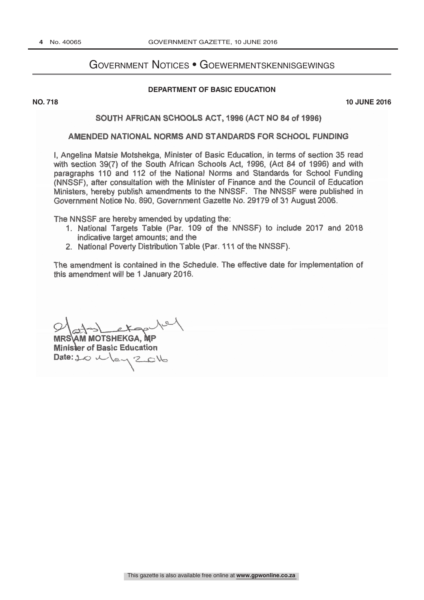# Government Notices • Goewermentskennisgewings

#### **DEPARTMENT OF BASIC EDUCATION**

 $\overline{R}$ 

**NO. 718 10 JUNE 2016**

## SOUTH AFRICAN SCHOOLS ACT, 1996 (ACT NO 84 of 1996)

## AMENDED NATIONAL NORMS AND STANDARDS FOR SCHOOL FUNDING

I, Angelina Matsie Motshekga, Minister of Basic Education, in terms of section 35 read with section 39(7) of the South African Schools Act, 1996, (Act 84 of 1996) and with paragraphs 110 and 112 of the National Norms and Standards for School Funding (NNSSF), after consultation with the Minister of Finance and the Council of Education Ministers, hereby publish amendments to the NNSSF. The NNSSF were published in Government Notice No. 890, Government Gazette No. 29179 of 31 August 2006.

The NNSSF are hereby amended by updating the:

- 1. National Targets Table (Par. 109 of the NNSSF) to include 2017 and 2018 indicative target amounts; and the
- 2. National Poverty Distribution Table (Par. 111 of the NNSSF).

The amendment is contained in the Schedule. The effective date for implementation of this amendment will be 1 January 2016.

 $A$  and  $A$ <br> $P$ <br> $\Rightarrow$  Max  $\Rightarrow$